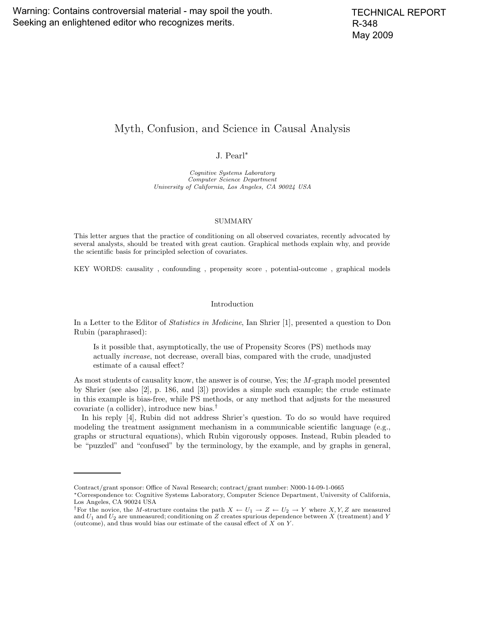# Myth, Confusion, and Science in Causal Analysis

## J. Pearl∗

Cognitive Systems Laboratory Computer Science Department University of California, Los Angeles, CA 90024 USA

### SUMMARY

This letter argues that the practice of conditioning on all observed covariates, recently advocated by several analysts, should be treated with great caution. Graphical methods explain why, and provide the scientific basis for principled selection of covariates.

KEY WORDS: causality , confounding , propensity score , potential-outcome , graphical models

### Introduction

In a Letter to the Editor of Statistics in Medicine, Ian Shrier [1], presented a question to Don Rubin (paraphrased):

Is it possible that, asymptotically, the use of Propensity Scores (PS) methods may actually increase, not decrease, overall bias, compared with the crude, unadjusted estimate of a causal effect?

As most students of causality know, the answer is of course, Yes; the M-graph model presented by Shrier (see also [2], p. 186, and [3]) provides a simple such example; the crude estimate in this example is bias-free, while PS methods, or any method that adjusts for the measured covariate (a collider), introduce new bias.†

In his reply [4], Rubin did not address Shrier's question. To do so would have required modeling the treatment assignment mechanism in a communicable scientific language (e.g., graphs or structural equations), which Rubin vigorously opposes. Instead, Rubin pleaded to be "puzzled" and "confused" by the terminology, by the example, and by graphs in general,

Contract/grant sponsor: Office of Naval Research; contract/grant number: N000-14-09-1-0665

<sup>∗</sup>Correspondence to: Cognitive Systems Laboratory, Computer Science Department, University of California, Los Angeles, CA 90024 USA

<sup>&</sup>lt;sup>†</sup>For the novice, the M-structure contains the path  $X \leftarrow U_1 \rightarrow Z \leftarrow U_2 \rightarrow Y$  where X, Y, Z are measured and  $U_1$  and  $U_2$  are unmeasured; conditioning on Z creates spurious dependence between X (treatment) and Y (outcome), and thus would bias our estimate of the causal effect of  $X$  on  $Y$ .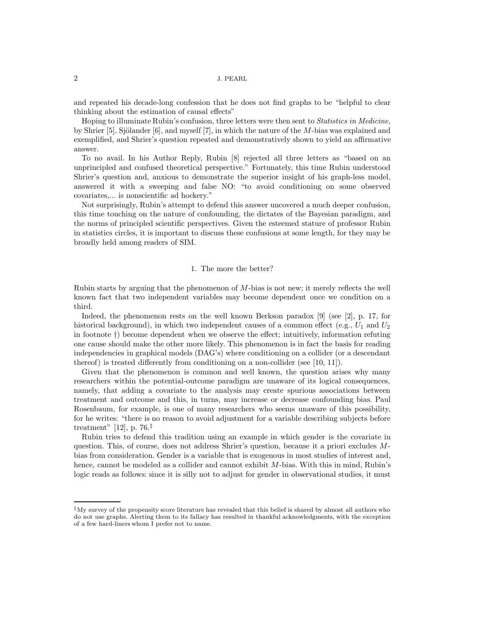### 2 J. PEARL

and repeated his decade-long confession that he does not find graphs to be "helpful to clear thinking about the estimation of causal effects"

Hoping to illuminate Rubin's confusion, three letters were then sent to Statistics in Medicine, by Shrier [5], Sjölander  $[6]$ , and myself [7], in which the nature of the M-bias was explained and exemplified, and Shrier's question repeated and demonstratively shown to yield an affirmative answer.

To no avail. In his Author Reply, Rubin [8] rejected all three letters as "based on an unprincipled and confused theoretical perspective." Fortunately, this time Rubin understood Shrier's question and, anxious to demonstrate the superior insight of his graph-less model, answered it with a sweeping and false NO: "to avoid conditioning on some observed covariates,... is nonscientific ad hockery."

Not surprisingly, Rubin's attempt to defend this answer uncovered a much deeper confusion, this time touching on the nature of confounding, the dictates of the Bayesian paradigm, and the norms of principled scientific perspectives. Given the esteemed stature of professor Rubin in statistics circles, it is important to discuss these confusions at some length, for they may be broadly held among readers of SIM.

### 1. The more the better?

Rubin starts by arguing that the phenomenon of M-bias is not new; it merely reflects the well known fact that two independent variables may become dependent once we condition on a third.

Indeed, the phenomenon rests on the well known Berkson paradox [9] (see [2], p. 17, for historical background), in which two independent causes of a common effect (e.g.,  $U_1$  and  $U_2$ in footnote †) become dependent when we observe the effect; intuitively, information refuting one cause should make the other more likely. This phenomenon is in fact the basis for reading independencies in graphical models (DAG's) where conditioning on a collider (or a descendant thereof) is treated differently from conditioning on a non-collider (see [10, 11]).

Given that the phenomenon is common and well known, the question arises why many researchers within the potential-outcome paradigm are unaware of its logical consequences, namely, that adding a covariate to the analysis may create spurious associations between treatment and outcome and this, in turns, may increase or decrease confounding bias. Paul Rosenbaum, for example, is one of many researchers who seems unaware of this possibility, for he writes: "there is no reason to avoid adjustment for a variable describing subjects before treatment" [12], p. 76.<sup>‡</sup>

Rubin tries to defend this tradition using an example in which gender is the covariate in question. This, of course, does not address Shrier's question, because it a priori excludes Mbias from consideration. Gender is a variable that is exogenous in most studies of interest and, hence, cannot be modeled as a collider and cannot exhibit M-bias. With this in mind, Rubin's logic reads as follows: since it is silly not to adjust for gender in observational studies, it must

<sup>‡</sup>My survey of the propensity score literature has revealed that this belief is shared by almost all authors who do not use graphs. Alerting them to its fallacy has resulted in thankful acknowledgments, with the exception of a few hard-liners whom I prefer not to name.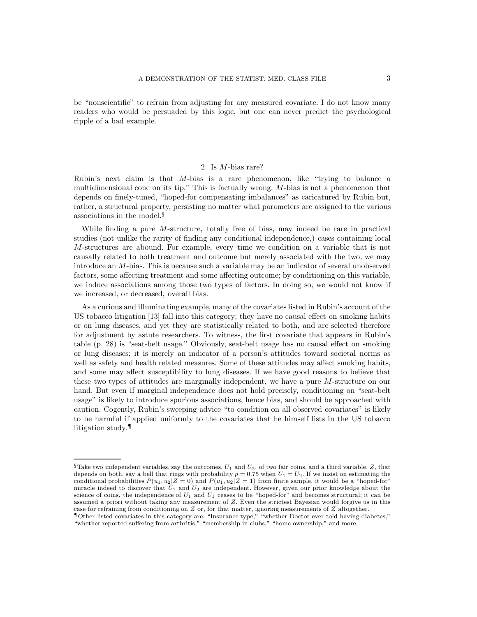be "nonscientific" to refrain from adjusting for any measured covariate. I do not know many readers who would be persuaded by this logic, but one can never predict the psychological ripple of a bad example.

### 2. Is M-bias rare?

Rubin's next claim is that M-bias is a rare phenomenon, like "trying to balance a multidimensional cone on its tip." This is factually wrong. M-bias is not a phenomenon that depends on finely-tuned, "hoped-for compensating imbalances" as caricatured by Rubin but, rather, a structural property, persisting no matter what parameters are assigned to the various associations in the model.§

While finding a pure M-structure, totally free of bias, may indeed be rare in practical studies (not unlike the rarity of finding any conditional independence,) cases containing local M-structures are abound. For example, every time we condition on a variable that is not causally related to both treatment and outcome but merely associated with the two, we may introduce an M-bias. This is because such a variable may be an indicator of several unobserved factors, some affecting treatment and some affecting outcome; by conditioning on this variable, we induce associations among those two types of factors. In doing so, we would not know if we increased, or decreased, overall bias.

As a curious and illuminating example, many of the covariates listed in Rubin's account of the US tobacco litigation [13] fall into this category; they have no causal effect on smoking habits or on lung diseases, and yet they are statistically related to both, and are selected therefore for adjustment by astute researchers. To witness, the first covariate that appears in Rubin's table (p. 28) is "seat-belt usage." Obviously, seat-belt usage has no causal effect on smoking or lung diseases; it is merely an indicator of a person's attitudes toward societal norms as well as safety and health related measures. Some of these attitudes may affect smoking habits, and some may affect susceptibility to lung diseases. If we have good reasons to believe that these two types of attitudes are marginally independent, we have a pure M-structure on our hand. But even if marginal independence does not hold precisely, conditioning on "seat-belt usage" is likely to introduce spurious associations, hence bias, and should be approached with caution. Cogently, Rubin's sweeping advice "to condition on all observed covariates" is likely to be harmful if applied uniformly to the covariates that he himself lists in the US tobacco litigation study.¶

 $\S$ Take two independent variables, say the outcomes,  $U_1$  and  $U_2$ , of two fair coins, and a third variable, Z, that depends on both, say a bell that rings with probability  $p = 0.75$  when  $U_1 = U_2$ . If we insist on estimating the conditional probabilities  $P(u_1, u_2|Z = 0)$  and  $P(u_1, u_2|Z = 1)$  from finite sample, it would be a "hoped-for" miracle indeed to discover that  $U_1$  and  $U_2$  are independent. However, given our prior knowledge about the science of coins, the independence of  $U_1$  and  $U_1$  ceases to be "hoped-for" and becomes structural; it can be assumed a priori without taking any measurement of Z. Even the strictest Bayesian would forgive us in this case for refraining from conditioning on  $Z$  or, for that matter, ignoring measurements of  $Z$  altogether.

<sup>¶</sup>Other listed covariates in this category are: "Insurance type," "whether Doctor ever told having diabetes," "whether reported suffering from arthritis," "membership in clubs," "home ownership," and more.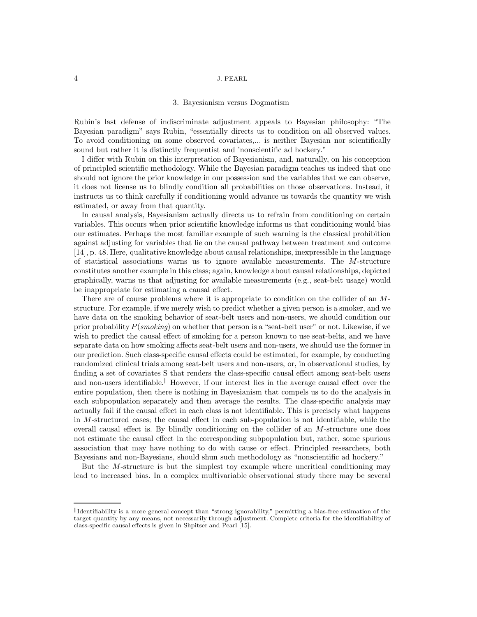### 4 J. PEARL

### 3. Bayesianism versus Dogmatism

Rubin's last defense of indiscriminate adjustment appeals to Bayesian philosophy: "The Bayesian paradigm" says Rubin, "essentially directs us to condition on all observed values. To avoid conditioning on some observed covariates,... is neither Bayesian nor scientifically sound but rather it is distinctly frequentist and 'nonscientific ad hockery."

I differ with Rubin on this interpretation of Bayesianism, and, naturally, on his conception of principled scientific methodology. While the Bayesian paradigm teaches us indeed that one should not ignore the prior knowledge in our possession and the variables that we can observe, it does not license us to blindly condition all probabilities on those observations. Instead, it instructs us to think carefully if conditioning would advance us towards the quantity we wish estimated, or away from that quantity.

In causal analysis, Bayesianism actually directs us to refrain from conditioning on certain variables. This occurs when prior scientific knowledge informs us that conditioning would bias our estimates. Perhaps the most familiar example of such warning is the classical prohibition against adjusting for variables that lie on the causal pathway between treatment and outcome [14], p. 48. Here, qualitative knowledge about causal relationships, inexpressible in the language of statistical associations warns us to ignore available measurements. The  $M$ -structure constitutes another example in this class; again, knowledge about causal relationships, depicted graphically, warns us that adjusting for available measurements (e.g., seat-belt usage) would be inappropriate for estimating a causal effect.

There are of course problems where it is appropriate to condition on the collider of an Mstructure. For example, if we merely wish to predict whether a given person is a smoker, and we have data on the smoking behavior of seat-belt users and non-users, we should condition our prior probability  $P(smoking)$  on whether that person is a "seat-belt user" or not. Likewise, if we wish to predict the causal effect of smoking for a person known to use seat-belts, and we have separate data on how smoking affects seat-belt users and non-users, we should use the former in our prediction. Such class-specific causal effects could be estimated, for example, by conducting randomized clinical trials among seat-belt users and non-users, or, in observational studies, by finding a set of covariates S that renders the class-specific causal effect among seat-belt users and non-users identifiable.<sup>||</sup> However, if our interest lies in the average causal effect over the entire population, then there is nothing in Bayesianism that compels us to do the analysis in each subpopulation separately and then average the results. The class-specific analysis may actually fail if the causal effect in each class is not identifiable. This is precisely what happens in M-structured cases; the causal effect in each sub-population is not identifiable, while the overall causal effect is. By blindly conditioning on the collider of an  $M$ -structure one does not estimate the causal effect in the corresponding subpopulation but, rather, some spurious association that may have nothing to do with cause or effect. Principled researchers, both Bayesians and non-Bayesians, should shun such methodology as "nonscientific ad hockery."

But the M-structure is but the simplest toy example where uncritical conditioning may lead to increased bias. In a complex multivariable observational study there may be several

Identifiability is a more general concept than "strong ignorability," permitting a bias-free estimation of the target quantity by any means, not necessarily through adjustment. Complete criteria for the identifiability of class-specific causal effects is given in Shpitser and Pearl [15].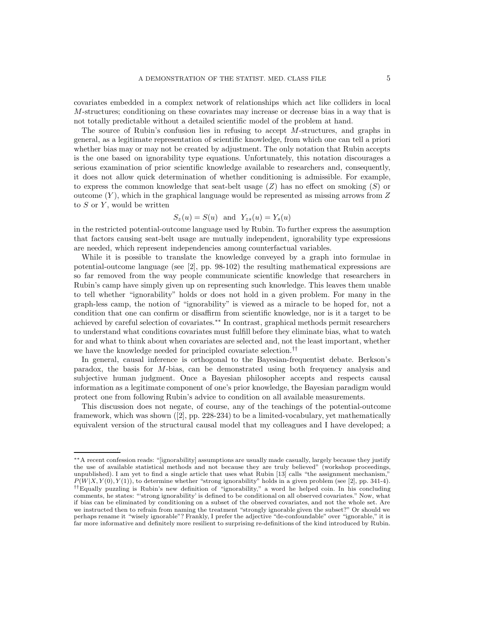covariates embedded in a complex network of relationships which act like colliders in local M-structures; conditioning on these covariates may increase or decrease bias in a way that is not totally predictable without a detailed scientific model of the problem at hand.

The source of Rubin's confusion lies in refusing to accept M-structures, and graphs in general, as a legitimate representation of scientific knowledge, from which one can tell a priori whether bias may or may not be created by adjustment. The only notation that Rubin accepts is the one based on ignorability type equations. Unfortunately, this notation discourages a serious examination of prior scientific knowledge available to researchers and, consequently, it does not allow quick determination of whether conditioning is admissible. For example, to express the common knowledge that seat-belt usage  $(Z)$  has no effect on smoking  $(S)$  or outcome  $(Y)$ , which in the graphical language would be represented as missing arrows from Z to  $S$  or  $Y$ , would be written

$$
S_z(u) = S(u) \text{ and } Y_{zs}(u) = Y_s(u)
$$

in the restricted potential-outcome language used by Rubin. To further express the assumption that factors causing seat-belt usage are mutually independent, ignorability type expressions are needed, which represent independencies among counterfactual variables.

While it is possible to translate the knowledge conveyed by a graph into formulae in potential-outcome language (see [2], pp. 98-102) the resulting mathematical expressions are so far removed from the way people communicate scientific knowledge that researchers in Rubin's camp have simply given up on representing such knowledge. This leaves them unable to tell whether "ignorability" holds or does not hold in a given problem. For many in the graph-less camp, the notion of "ignorability" is viewed as a miracle to be hoped for, not a condition that one can confirm or disaffirm from scientific knowledge, nor is it a target to be achieved by careful selection of covariates.∗∗ In contrast, graphical methods permit researchers to understand what conditions covariates must fulfill before they eliminate bias, what to watch for and what to think about when covariates are selected and, not the least important, whether we have the knowledge needed for principled covariate selection.<sup>††</sup>

In general, causal inference is orthogonal to the Bayesian-frequentist debate. Berkson's paradox, the basis for M-bias, can be demonstrated using both frequency analysis and subjective human judgment. Once a Bayesian philosopher accepts and respects causal information as a legitimate component of one's prior knowledge, the Bayesian paradigm would protect one from following Rubin's advice to condition on all available measurements.

This discussion does not negate, of course, any of the teachings of the potential-outcome framework, which was shown ([2], pp. 228-234) to be a limited-vocabulary, yet mathematically equivalent version of the structural causal model that my colleagues and I have developed; a

<sup>∗∗</sup>A recent confession reads: "[ignorability] assumptions are usually made casually, largely because they justify the use of available statistical methods and not because they are truly believed" (workshop proceedings, unpublished). I am yet to find a single article that uses what Rubin [13] calls "the assignment mechanism,"  $P(W|X, Y(0), Y(1))$ , to determine whether "strong ignorability" holds in a given problem (see [2], pp. 341-4). ††Equally puzzling is Rubin's new definition of "ignorability," a word he helped coin. In his concluding comments, he states: "'strong ignorability' is defined to be conditional on all observed covariates." Now, what if bias can be eliminated by conditioning on a subset of the observed covariates, and not the whole set. Are we instructed then to refrain from naming the treatment "strongly ignorable given the subset?" Or should we perhaps rename it "wisely ignorable"? Frankly, I prefer the adjective "de-confoundable" over "ignorable," it is far more informative and definitely more resilient to surprising re-definitions of the kind introduced by Rubin.